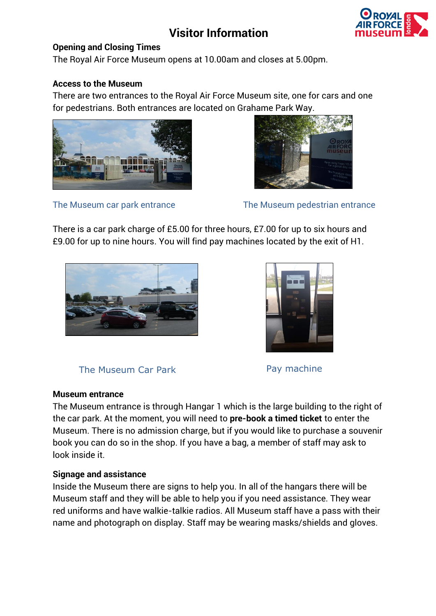# **Visitor Information**



#### **Opening and Closing Times**

The Royal Air Force Museum opens at 10.00am and closes at 5.00pm.

#### **Access to the Museum**

There are two entrances to the Royal Air Force Museum site, one for cars and one for pedestrians. Both entrances are located on Grahame Park Way.





The Museum car park entrance The Museum pedestrian entrance

There is a car park charge of £5.00 for three hours, £7.00 for up to six hours and £9.00 for up to nine hours. You will find pay machines located by the exit of H1.





The Museum Car Park **Pay machine** 

### **Museum entrance**

The Museum entrance is through Hangar 1 which is the large building to the right of the car park. At the moment, you will need to **pre-book a timed ticket** to enter the Museum. There is no admission charge, but if you would like to purchase a souvenir book you can do so in the shop. If you have a bag, a member of staff may ask to look inside it.

### **Signage and assistance**

Inside the Museum there are signs to help you. In all of the hangars there will be Museum staff and they will be able to help you if you need assistance. They wear red uniforms and have walkie-talkie radios. All Museum staff have a pass with their name and photograph on display. Staff may be wearing masks/shields and gloves.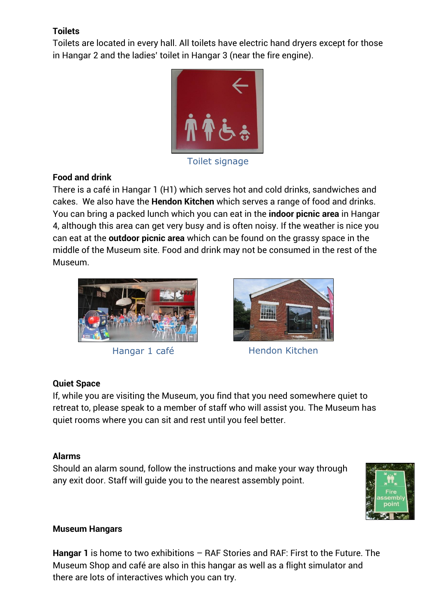## **Toilets**

Toilets are located in every hall. All toilets have electric hand dryers except for those in Hangar 2 and the ladies' toilet in Hangar 3 (near the fire engine).



Toilet signage

### **Food and drink**

There is a café in Hangar 1 (H1) which serves hot and cold drinks, sandwiches and cakes. We also have the **Hendon Kitchen** which serves a range of food and drinks. You can bring a packed lunch which you can eat in the **indoor picnic area** in Hangar 4, although this area can get very busy and is often noisy. If the weather is nice you can eat at the **outdoor picnic area** which can be found on the grassy space in the middle of the Museum site. Food and drink may not be consumed in the rest of the Museum.





Hangar 1 café Hendon Kitchen

### **Quiet Space**

If, while you are visiting the Museum, you find that you need somewhere quiet to retreat to, please speak to a member of staff who will assist you. The Museum has quiet rooms where you can sit and rest until you feel better.

### **Alarms**

Should an alarm sound, follow the instructions and make your way through any exit door. Staff will guide you to the nearest assembly point.



### **Museum Hangars**

**Hangar 1** is home to two exhibitions – RAF Stories and RAF: First to the Future. The Museum Shop and café are also in this hangar as well as a flight simulator and there are lots of interactives which you can try.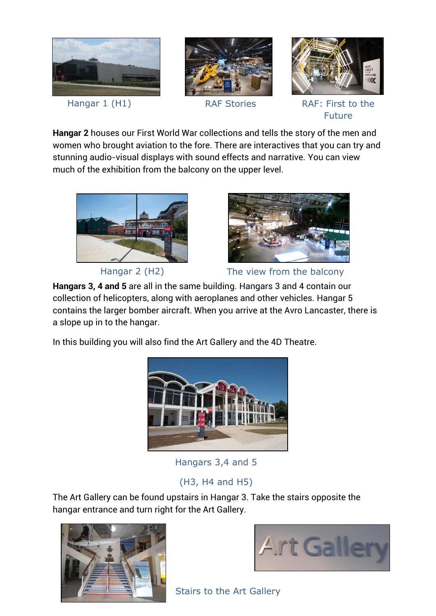

**Hangar 2** houses our First World War collections and tells the story of the men and women who brought aviation to the fore. There are interactives that you can try and stunning audio-visual displays with sound effects and narrative. You can view much of the exhibition from the balcony on the upper level.



Hangar 2 (H2)



The view from the balcony

**Hangars 3, 4 and 5** are all in the same building. Hangars 3 and 4 contain our collection of helicopters, along with aeroplanes and other vehicles. Hangar 5 contains the larger bomber aircraft. When you arrive at the Avro Lancaster, there is a slope up in to the hangar.

In this building you will also find the Art Gallery and the 4D Theatre.



Hangars 3,4 and 5

# (H3, H4 and H5)

The Art Gallery can be found upstairs in Hangar 3. Take the stairs opposite the hangar entrance and turn right for the Art Gallery.





Stairs to the Art Gallery